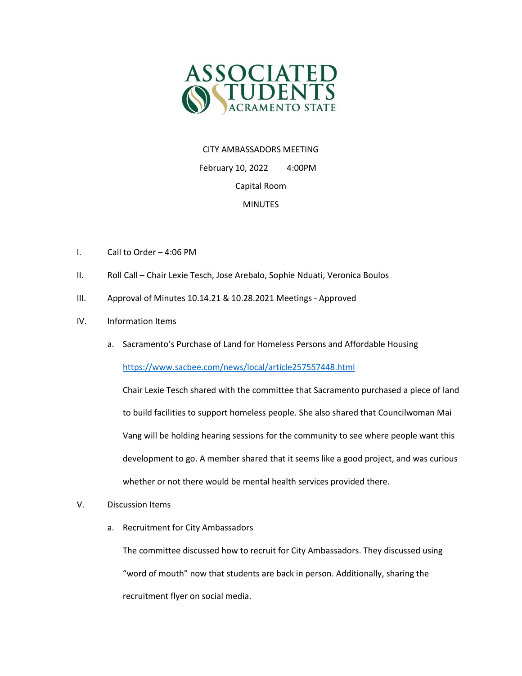

## CITY AMBASSADORS MEETING

 February 10, 2022 4:00PM Capital Room MINUTES

- I. Call to Order 4:06 PM
- II. Roll Call Chair Lexie Tesch, Jose Arebalo, Sophie Nduati, Veronica Boulos
- III. Approval of Minutes 10.14.21 & 10.28.2021 Meetings Approved
- IV. Information Items
	- a. Sacramento's Purchase of Land for Homeless Persons and Affordable Housing

<https://www.sacbee.com/news/local/article257557448.html>

Chair Lexie Tesch shared with the committee that Sacramento purchased a piece of land to build facilities to support homeless people. She also shared that Councilwoman Mai Vang will be holding hearing sessions for the community to see where people want this development to go. A member shared that it seems like a good project, and was curious whether or not there would be mental health services provided there.

- V. Discussion Items
	- a. Recruitment for City Ambassadors

The committee discussed how to recruit for City Ambassadors. They discussed using "word of mouth" now that students are back in person. Additionally, sharing the recruitment flyer on social media.